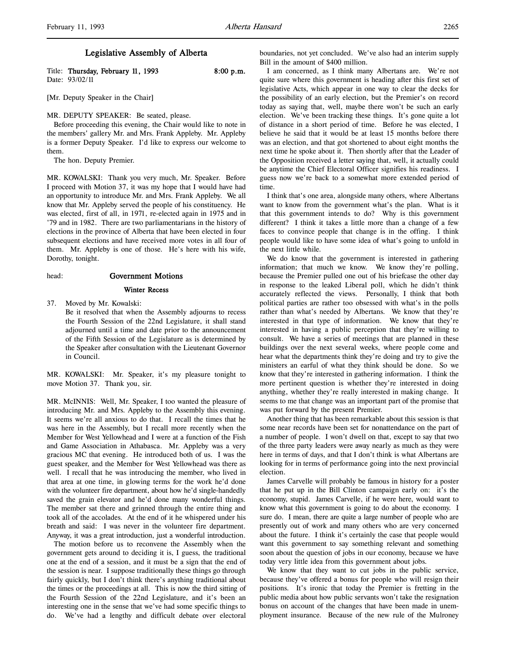Title: Thursday, February 11, 1993 8:00 p.m. Date: 93/02/11

[Mr. Deputy Speaker in the Chair]

#### MR. DEPUTY SPEAKER: Be seated, please.

Before proceeding this evening, the Chair would like to note in the members' gallery Mr. and Mrs. Frank Appleby. Mr. Appleby is a former Deputy Speaker. I'd like to express our welcome to them.

The hon. Deputy Premier.

MR. KOWALSKI: Thank you very much, Mr. Speaker. Before I proceed with Motion 37, it was my hope that I would have had an opportunity to introduce Mr. and Mrs. Frank Appleby. We all know that Mr. Appleby served the people of his constituency. He was elected, first of all, in 1971, re-elected again in 1975 and in '79 and in 1982. There are two parliamentarians in the history of elections in the province of Alberta that have been elected in four subsequent elections and have received more votes in all four of them. Mr. Appleby is one of those. He's here with his wife, Dorothy, tonight.

#### head: Government Motions

#### Winter Recess

37. Moved by Mr. Kowalski:

Be it resolved that when the Assembly adjourns to recess the Fourth Session of the 22nd Legislature, it shall stand adjourned until a time and date prior to the announcement of the Fifth Session of the Legislature as is determined by the Speaker after consultation with the Lieutenant Governor in Council.

MR. KOWALSKI: Mr. Speaker, it's my pleasure tonight to move Motion 37. Thank you, sir.

MR. McINNIS: Well, Mr. Speaker, I too wanted the pleasure of introducing Mr. and Mrs. Appleby to the Assembly this evening. It seems we're all anxious to do that. I recall the times that he was here in the Assembly, but I recall more recently when the Member for West Yellowhead and I were at a function of the Fish and Game Association in Athabasca. Mr. Appleby was a very gracious MC that evening. He introduced both of us. I was the guest speaker, and the Member for West Yellowhead was there as well. I recall that he was introducing the member, who lived in that area at one time, in glowing terms for the work he'd done with the volunteer fire department, about how he'd single-handedly saved the grain elevator and he'd done many wonderful things. The member sat there and grinned through the entire thing and took all of the accolades. At the end of it he whispered under his breath and said: I was never in the volunteer fire department. Anyway, it was a great introduction, just a wonderful introduction.

The motion before us to reconvene the Assembly when the government gets around to deciding it is, I guess, the traditional one at the end of a session, and it must be a sign that the end of the session is near. I suppose traditionally these things go through fairly quickly, but I don't think there's anything traditional about the times or the proceedings at all. This is now the third sitting of the Fourth Session of the 22nd Legislature, and it's been an interesting one in the sense that we've had some specific things to do. We've had a lengthy and difficult debate over electoral

boundaries, not yet concluded. We've also had an interim supply Bill in the amount of \$400 million.

I am concerned, as I think many Albertans are. We're not quite sure where this government is heading after this first set of legislative Acts, which appear in one way to clear the decks for the possibility of an early election, but the Premier's on record today as saying that, well, maybe there won't be such an early election. We've been tracking these things. It's gone quite a lot of distance in a short period of time. Before he was elected, I believe he said that it would be at least 15 months before there was an election, and that got shortened to about eight months the next time he spoke about it. Then shortly after that the Leader of the Opposition received a letter saying that, well, it actually could be anytime the Chief Electoral Officer signifies his readiness. I guess now we're back to a somewhat more extended period of time.

I think that's one area, alongside many others, where Albertans want to know from the government what's the plan. What is it that this government intends to do? Why is this government different? I think it takes a little more than a change of a few faces to convince people that change is in the offing. I think people would like to have some idea of what's going to unfold in the next little while.

We do know that the government is interested in gathering information; that much we know. We know they're polling, because the Premier pulled one out of his briefcase the other day in response to the leaked Liberal poll, which he didn't think accurately reflected the views. Personally, I think that both political parties are rather too obsessed with what's in the polls rather than what's needed by Albertans. We know that they're interested in that type of information. We know that they're interested in having a public perception that they're willing to consult. We have a series of meetings that are planned in these buildings over the next several weeks, where people come and hear what the departments think they're doing and try to give the ministers an earful of what they think should be done. So we know that they're interested in gathering information. I think the more pertinent question is whether they're interested in doing anything, whether they're really interested in making change. It seems to me that change was an important part of the promise that was put forward by the present Premier.

Another thing that has been remarkable about this session is that some near records have been set for nonattendance on the part of a number of people. I won't dwell on that, except to say that two of the three party leaders were away nearly as much as they were here in terms of days, and that I don't think is what Albertans are looking for in terms of performance going into the next provincial election.

James Carvelle will probably be famous in history for a poster that he put up in the Bill Clinton campaign early on: it's the economy, stupid. James Carvelle, if he were here, would want to know what this government is going to do about the economy. I sure do. I mean, there are quite a large number of people who are presently out of work and many others who are very concerned about the future. I think it's certainly the case that people would want this government to say something relevant and something soon about the question of jobs in our economy, because we have today very little idea from this government about jobs.

We know that they want to cut jobs in the public service, because they've offered a bonus for people who will resign their positions. It's ironic that today the Premier is fretting in the public media about how public servants won't take the resignation bonus on account of the changes that have been made in unemployment insurance. Because of the new rule of the Mulroney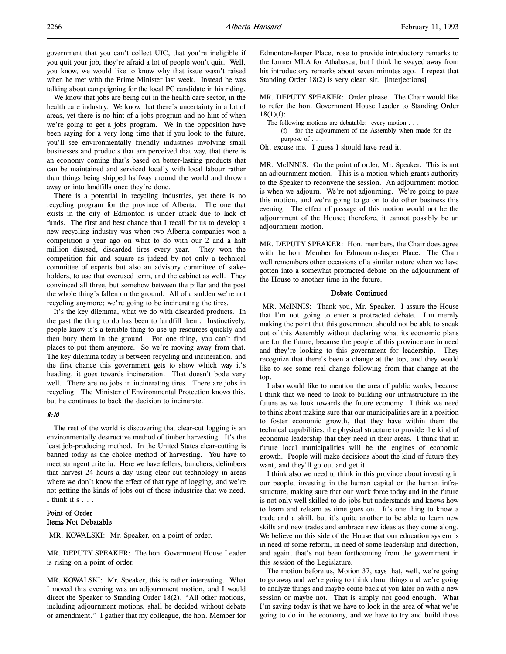We know that jobs are being cut in the health care sector, in the health care industry. We know that there's uncertainty in a lot of areas, yet there is no hint of a jobs program and no hint of when we're going to get a jobs program. We in the opposition have been saying for a very long time that if you look to the future, you'll see environmentally friendly industries involving small businesses and products that are perceived that way, that there is an economy coming that's based on better-lasting products that can be maintained and serviced locally with local labour rather than things being shipped halfway around the world and thrown away or into landfills once they're done.

There is a potential in recycling industries, yet there is no recycling program for the province of Alberta. The one that exists in the city of Edmonton is under attack due to lack of funds. The first and best chance that I recall for us to develop a new recycling industry was when two Alberta companies won a competition a year ago on what to do with our 2 and a half million disused, discarded tires every year. They won the competition fair and square as judged by not only a technical committee of experts but also an advisory committee of stakeholders, to use that overused term, and the cabinet as well. They convinced all three, but somehow between the pillar and the post the whole thing's fallen on the ground. All of a sudden we're not recycling anymore; we're going to be incinerating the tires.

It's the key dilemma, what we do with discarded products. In the past the thing to do has been to landfill them. Instinctively, people know it's a terrible thing to use up resources quickly and then bury them in the ground. For one thing, you can't find places to put them anymore. So we're moving away from that. The key dilemma today is between recycling and incineration, and the first chance this government gets to show which way it's heading, it goes towards incineration. That doesn't bode very well. There are no jobs in incinerating tires. There are jobs in recycling. The Minister of Environmental Protection knows this, but he continues to back the decision to incinerate.

### 8:10

The rest of the world is discovering that clear-cut logging is an environmentally destructive method of timber harvesting. It's the least job-producing method. In the United States clear-cutting is banned today as the choice method of harvesting. You have to meet stringent criteria. Here we have fellers, bunchers, delimbers that harvest 24 hours a day using clear-cut technology in areas where we don't know the effect of that type of logging, and we're not getting the kinds of jobs out of those industries that we need. I think it's . . .

# Point of Order Items Not Debatable

MR. KOWALSKI: Mr. Speaker, on a point of order.

MR. DEPUTY SPEAKER: The hon. Government House Leader is rising on a point of order.

MR. KOWALSKI: Mr. Speaker, this is rather interesting. What I moved this evening was an adjournment motion, and I would direct the Speaker to Standing Order 18(2), "All other motions, including adjournment motions, shall be decided without debate or amendment." I gather that my colleague, the hon. Member for

Edmonton-Jasper Place, rose to provide introductory remarks to the former MLA for Athabasca, but I think he swayed away from his introductory remarks about seven minutes ago. I repeat that Standing Order 18(2) is very clear, sir. [interjections]

MR. DEPUTY SPEAKER: Order please. The Chair would like to refer the hon. Government House Leader to Standing Order  $18(1)(f)$ :

The following motions are debatable: every motion . . .

(f) for the adjournment of the Assembly when made for the

purpose of . . .

Oh, excuse me. I guess I should have read it.

MR. McINNIS: On the point of order, Mr. Speaker. This is not an adjournment motion. This is a motion which grants authority to the Speaker to reconvene the session. An adjournment motion is when we adjourn. We're not adjourning. We're going to pass this motion, and we're going to go on to do other business this evening. The effect of passage of this motion would not be the adjournment of the House; therefore, it cannot possibly be an adjournment motion.

MR. DEPUTY SPEAKER: Hon. members, the Chair does agree with the hon. Member for Edmonton-Jasper Place. The Chair well remembers other occasions of a similar nature when we have gotten into a somewhat protracted debate on the adjournment of the House to another time in the future.

#### Debate Continued

 MR. McINNIS: Thank you, Mr. Speaker. I assure the House that I'm not going to enter a protracted debate. I'm merely making the point that this government should not be able to sneak out of this Assembly without declaring what its economic plans are for the future, because the people of this province are in need and they're looking to this government for leadership. They recognize that there's been a change at the top, and they would like to see some real change following from that change at the top.

I also would like to mention the area of public works, because I think that we need to look to building our infrastructure in the future as we look towards the future economy. I think we need to think about making sure that our municipalities are in a position to foster economic growth, that they have within them the technical capabilities, the physical structure to provide the kind of economic leadership that they need in their areas. I think that in future local municipalities will be the engines of economic growth. People will make decisions about the kind of future they want, and they'll go out and get it.

I think also we need to think in this province about investing in our people, investing in the human capital or the human infrastructure, making sure that our work force today and in the future is not only well skilled to do jobs but understands and knows how to learn and relearn as time goes on. It's one thing to know a trade and a skill, but it's quite another to be able to learn new skills and new trades and embrace new ideas as they come along. We believe on this side of the House that our education system is in need of some reform, in need of some leadership and direction, and again, that's not been forthcoming from the government in this session of the Legislature.

The motion before us, Motion 37, says that, well, we're going to go away and we're going to think about things and we're going to analyze things and maybe come back at you later on with a new session or maybe not. That is simply not good enough. What I'm saying today is that we have to look in the area of what we're going to do in the economy, and we have to try and build those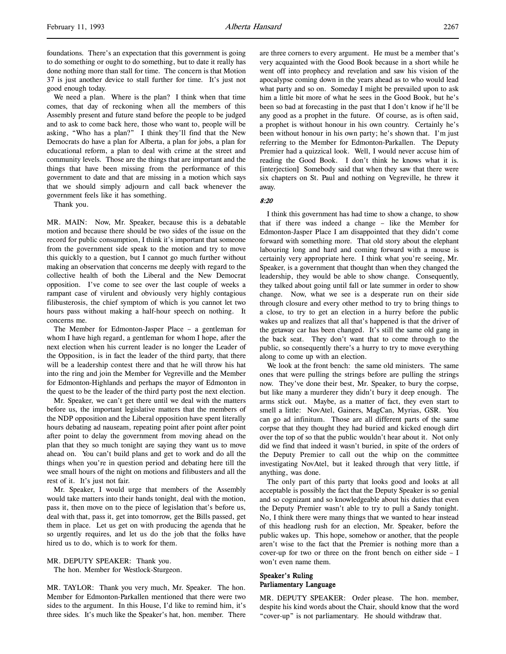We need a plan. Where is the plan? I think when that time comes, that day of reckoning when all the members of this Assembly present and future stand before the people to be judged and to ask to come back here, those who want to, people will be asking, "Who has a plan?" I think they'll find that the New Democrats do have a plan for Alberta, a plan for jobs, a plan for educational reform, a plan to deal with crime at the street and community levels. Those are the things that are important and the things that have been missing from the performance of this government to date and that are missing in a motion which says that we should simply adjourn and call back whenever the government feels like it has something.

Thank you.

MR. MAIN: Now, Mr. Speaker, because this is a debatable motion and because there should be two sides of the issue on the record for public consumption, I think it's important that someone from the government side speak to the motion and try to move this quickly to a question, but I cannot go much further without making an observation that concerns me deeply with regard to the collective health of both the Liberal and the New Democrat opposition. I've come to see over the last couple of weeks a rampant case of virulent and obviously very highly contagious filibusterosis, the chief symptom of which is you cannot let two hours pass without making a half-hour speech on nothing. It concerns me.

The Member for Edmonton-Jasper Place – a gentleman for whom I have high regard, a gentleman for whom I hope, after the next election when his current leader is no longer the Leader of the Opposition, is in fact the leader of the third party, that there will be a leadership contest there and that he will throw his hat into the ring and join the Member for Vegreville and the Member for Edmonton-Highlands and perhaps the mayor of Edmonton in the quest to be the leader of the third party post the next election.

Mr. Speaker, we can't get there until we deal with the matters before us, the important legislative matters that the members of the NDP opposition and the Liberal opposition have spent literally hours debating ad nauseam, repeating point after point after point after point to delay the government from moving ahead on the plan that they so much tonight are saying they want us to move ahead on. You can't build plans and get to work and do all the things when you're in question period and debating here till the wee small hours of the night on motions and filibusters and all the rest of it. It's just not fair.

Mr. Speaker, I would urge that members of the Assembly would take matters into their hands tonight, deal with the motion, pass it, then move on to the piece of legislation that's before us, deal with that, pass it, get into tomorrow, get the Bills passed, get them in place. Let us get on with producing the agenda that he so urgently requires, and let us do the job that the folks have hired us to do, which is to work for them.

MR. DEPUTY SPEAKER: Thank you. The hon. Member for Westlock-Sturgeon.

MR. TAYLOR: Thank you very much, Mr. Speaker. The hon. Member for Edmonton-Parkallen mentioned that there were two sides to the argument. In this House, I'd like to remind him, it's three sides. It's much like the Speaker's hat, hon. member. There

are three corners to every argument. He must be a member that's very acquainted with the Good Book because in a short while he went off into prophecy and revelation and saw his vision of the apocalypse coming down in the years ahead as to who would lead what party and so on. Someday I might be prevailed upon to ask him a little bit more of what he sees in the Good Book, but he's been so bad at forecasting in the past that I don't know if he'll be any good as a prophet in the future. Of course, as is often said, a prophet is without honour in his own country. Certainly he's been without honour in his own party; he's shown that. I'm just referring to the Member for Edmonton-Parkallen. The Deputy Premier had a quizzical look. Well, I would never accuse him of reading the Good Book. I don't think he knows what it is. [interjection] Somebody said that when they saw that there were six chapters on St. Paul and nothing on Vegreville, he threw it away.

8:20

I think this government has had time to show a change, to show that if there was indeed a change – like the Member for Edmonton-Jasper Place I am disappointed that they didn't come forward with something more. That old story about the elephant labouring long and hard and coming forward with a mouse is certainly very appropriate here. I think what you're seeing, Mr. Speaker, is a government that thought than when they changed the leadership, they would be able to show change. Consequently, they talked about going until fall or late summer in order to show change. Now, what we see is a desperate run on their side through closure and every other method to try to bring things to a close, to try to get an election in a hurry before the public wakes up and realizes that all that's happened is that the driver of the getaway car has been changed. It's still the same old gang in the back seat. They don't want that to come through to the public, so consequently there's a hurry to try to move everything along to come up with an election.

We look at the front bench: the same old ministers. The same ones that were pulling the strings before are pulling the strings now. They've done their best, Mr. Speaker, to bury the corpse, but like many a murderer they didn't bury it deep enough. The arms stick out. Maybe, as a matter of fact, they even start to smell a little: NovAtel, Gainers, MagCan, Myrias, GSR. You can go ad infinitum. Those are all different parts of the same corpse that they thought they had buried and kicked enough dirt over the top of so that the public wouldn't hear about it. Not only did we find that indeed it wasn't buried, in spite of the orders of the Deputy Premier to call out the whip on the committee investigating NovAtel, but it leaked through that very little, if anything, was done.

The only part of this party that looks good and looks at all acceptable is possibly the fact that the Deputy Speaker is so genial and so cognizant and so knowledgeable about his duties that even the Deputy Premier wasn't able to try to pull a Sandy tonight. No, I think there were many things that we wanted to hear instead of this headlong rush for an election, Mr. Speaker, before the public wakes up. This hope, somehow or another, that the people aren't wise to the fact that the Premier is nothing more than a cover-up for two or three on the front bench on either side – I won't even name them.

# Speaker's Ruling Parliamentary Language

MR. DEPUTY SPEAKER: Order please. The hon. member, despite his kind words about the Chair, should know that the word "cover-up" is not parliamentary. He should withdraw that.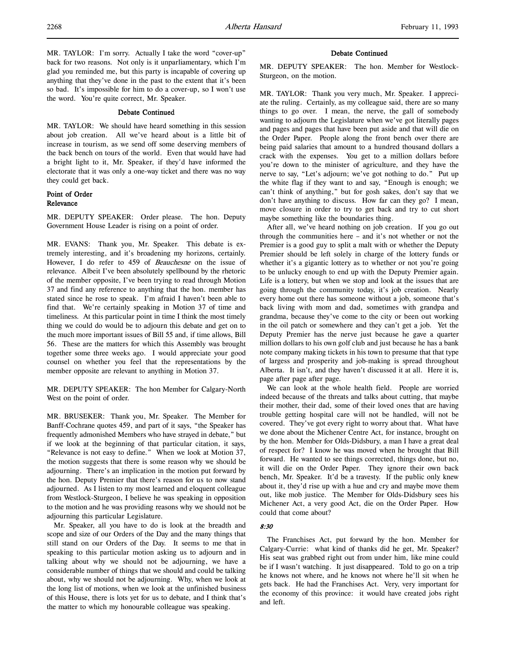MR. TAYLOR: I'm sorry. Actually I take the word "cover-up" back for two reasons. Not only is it unparliamentary, which I'm glad you reminded me, but this party is incapable of covering up anything that they've done in the past to the extent that it's been so bad. It's impossible for him to do a cover-up, so I won't use the word. You're quite correct, Mr. Speaker.

# Debate Continued

MR. TAYLOR: We should have heard something in this session about job creation. All we've heard about is a little bit of increase in tourism, as we send off some deserving members of the back bench on tours of the world. Even that would have had a bright light to it, Mr. Speaker, if they'd have informed the electorate that it was only a one-way ticket and there was no way they could get back.

# Point of Order Relevance

MR. DEPUTY SPEAKER: Order please. The hon. Deputy Government House Leader is rising on a point of order.

MR. EVANS: Thank you, Mr. Speaker. This debate is extremely interesting, and it's broadening my horizons, certainly. However, I do refer to 459 of Beauchesne on the issue of relevance. Albeit I've been absolutely spellbound by the rhetoric of the member opposite, I've been trying to read through Motion 37 and find any reference to anything that the hon. member has stated since he rose to speak. I'm afraid I haven't been able to find that. We're certainly speaking in Motion 37 of time and timeliness. At this particular point in time I think the most timely thing we could do would be to adjourn this debate and get on to the much more important issues of Bill 55 and, if time allows, Bill 56. These are the matters for which this Assembly was brought together some three weeks ago. I would appreciate your good counsel on whether you feel that the representations by the member opposite are relevant to anything in Motion 37.

MR. DEPUTY SPEAKER: The hon Member for Calgary-North West on the point of order.

MR. BRUSEKER: Thank you, Mr. Speaker. The Member for Banff-Cochrane quotes 459, and part of it says, "the Speaker has frequently admonished Members who have strayed in debate," but if we look at the beginning of that particular citation, it says, "Relevance is not easy to define." When we look at Motion 37, the motion suggests that there is some reason why we should be adjourning. There's an implication in the motion put forward by the hon. Deputy Premier that there's reason for us to now stand adjourned. As I listen to my most learned and eloquent colleague from Westlock-Sturgeon, I believe he was speaking in opposition to the motion and he was providing reasons why we should not be adjourning this particular Legislature.

Mr. Speaker, all you have to do is look at the breadth and scope and size of our Orders of the Day and the many things that still stand on our Orders of the Day. It seems to me that in speaking to this particular motion asking us to adjourn and in talking about why we should not be adjourning, we have a considerable number of things that we should and could be talking about, why we should not be adjourning. Why, when we look at the long list of motions, when we look at the unfinished business of this House, there is lots yet for us to debate, and I think that's the matter to which my honourable colleague was speaking.

# Debate Continued

MR. DEPUTY SPEAKER: The hon. Member for Westlock-Sturgeon, on the motion.

MR. TAYLOR: Thank you very much, Mr. Speaker. I appreciate the ruling. Certainly, as my colleague said, there are so many things to go over. I mean, the nerve, the gall of somebody wanting to adjourn the Legislature when we've got literally pages and pages and pages that have been put aside and that will die on the Order Paper. People along the front bench over there are being paid salaries that amount to a hundred thousand dollars a crack with the expenses. You get to a million dollars before you're down to the minister of agriculture, and they have the nerve to say, "Let's adjourn; we've got nothing to do." Put up the white flag if they want to and say, "Enough is enough; we can't think of anything," but for gosh sakes, don't say that we don't have anything to discuss. How far can they go? I mean, move closure in order to try to get back and try to cut short maybe something like the boundaries thing.

After all, we've heard nothing on job creation. If you go out through the communities here – and it's not whether or not the Premier is a good guy to split a malt with or whether the Deputy Premier should be left solely in charge of the lottery funds or whether it's a gigantic lottery as to whether or not you're going to be unlucky enough to end up with the Deputy Premier again. Life is a lottery, but when we stop and look at the issues that are going through the community today, it's job creation. Nearly every home out there has someone without a job, someone that's back living with mom and dad, sometimes with grandpa and grandma, because they've come to the city or been out working in the oil patch or somewhere and they can't get a job. Yet the Deputy Premier has the nerve just because he gave a quarter million dollars to his own golf club and just because he has a bank note company making tickets in his town to presume that that type of largess and prosperity and job-making is spread throughout Alberta. It isn't, and they haven't discussed it at all. Here it is, page after page after page.

We can look at the whole health field. People are worried indeed because of the threats and talks about cutting, that maybe their mother, their dad, some of their loved ones that are having trouble getting hospital care will not be handled, will not be covered. They've got every right to worry about that. What have we done about the Michener Centre Act, for instance, brought on by the hon. Member for Olds-Didsbury, a man I have a great deal of respect for? I know he was moved when he brought that Bill forward. He wanted to see things corrected, things done, but no, it will die on the Order Paper. They ignore their own back bench, Mr. Speaker. It'd be a travesty. If the public only knew about it, they'd rise up with a hue and cry and maybe move them out, like mob justice. The Member for Olds-Didsbury sees his Michener Act, a very good Act, die on the Order Paper. How could that come about?

# 8:30

The Franchises Act, put forward by the hon. Member for Calgary-Currie: what kind of thanks did he get, Mr. Speaker? His seat was grabbed right out from under him, like mine could be if I wasn't watching. It just disappeared. Told to go on a trip he knows not where, and he knows not where he'll sit when he gets back. He had the Franchises Act. Very, very important for the economy of this province: it would have created jobs right and left.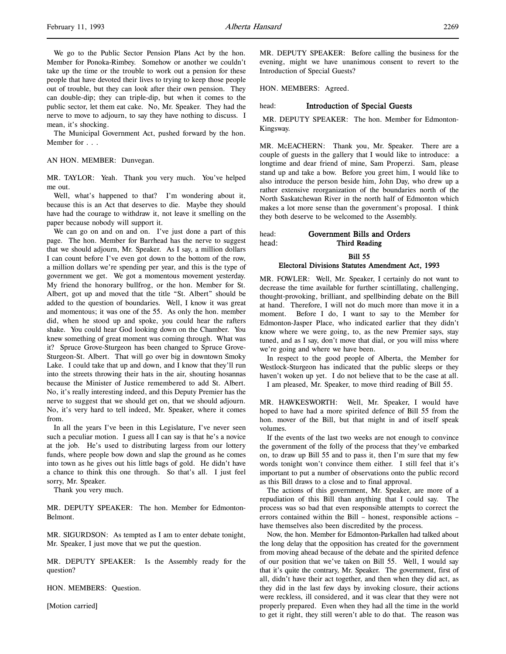We go to the Public Sector Pension Plans Act by the hon. Member for Ponoka-Rimbey. Somehow or another we couldn't take up the time or the trouble to work out a pension for these people that have devoted their lives to trying to keep those people out of trouble, but they can look after their own pension. They can double-dip; they can triple-dip, but when it comes to the public sector, let them eat cake. No, Mr. Speaker. They had the nerve to move to adjourn, to say they have nothing to discuss. I mean, it's shocking.

The Municipal Government Act, pushed forward by the hon. Member for . . .

#### AN HON. MEMBER: Dunvegan.

MR. TAYLOR: Yeah. Thank you very much. You've helped me out.

Well, what's happened to that? I'm wondering about it, because this is an Act that deserves to die. Maybe they should have had the courage to withdraw it, not leave it smelling on the paper because nobody will support it.

We can go on and on and on. I've just done a part of this page. The hon. Member for Barrhead has the nerve to suggest that we should adjourn, Mr. Speaker. As I say, a million dollars I can count before I've even got down to the bottom of the row, a million dollars we're spending per year, and this is the type of government we get. We got a momentous movement yesterday. My friend the honorary bullfrog, or the hon. Member for St. Albert, got up and moved that the title "St. Albert" should be added to the question of boundaries. Well, I know it was great and momentous; it was one of the 55. As only the hon. member did, when he stood up and spoke, you could hear the rafters shake. You could hear God looking down on the Chamber. You knew something of great moment was coming through. What was it? Spruce Grove-Sturgeon has been changed to Spruce Grove-Sturgeon-St. Albert. That will go over big in downtown Smoky Lake. I could take that up and down, and I know that they'll run into the streets throwing their hats in the air, shouting hosannas because the Minister of Justice remembered to add St. Albert. No, it's really interesting indeed, and this Deputy Premier has the nerve to suggest that we should get on, that we should adjourn. No, it's very hard to tell indeed, Mr. Speaker, where it comes from.

In all the years I've been in this Legislature, I've never seen such a peculiar motion. I guess all I can say is that he's a novice at the job. He's used to distributing largess from our lottery funds, where people bow down and slap the ground as he comes into town as he gives out his little bags of gold. He didn't have a chance to think this one through. So that's all. I just feel sorry, Mr. Speaker.

Thank you very much.

MR. DEPUTY SPEAKER: The hon. Member for Edmonton-Belmont.

MR. SIGURDSON: As tempted as I am to enter debate tonight, Mr. Speaker, I just move that we put the question.

MR. DEPUTY SPEAKER: Is the Assembly ready for the question?

HON. MEMBERS: Question.

[Motion carried]

MR. DEPUTY SPEAKER: Before calling the business for the evening, might we have unanimous consent to revert to the Introduction of Special Guests?

HON. MEMBERS: Agreed.

#### head: **Introduction of Special Guests**

 MR. DEPUTY SPEAKER: The hon. Member for Edmonton-Kingsway.

MR. McEACHERN: Thank you, Mr. Speaker. There are a couple of guests in the gallery that I would like to introduce: a longtime and dear friend of mine, Sam Properzi. Sam, please stand up and take a bow. Before you greet him, I would like to also introduce the person beside him, John Day, who drew up a rather extensive reorganization of the boundaries north of the North Saskatchewan River in the north half of Edmonton which makes a lot more sense than the government's proposal. I think they both deserve to be welcomed to the Assembly.

| head: | Government Bills and Orders |
|-------|-----------------------------|
| head: | Third Reading               |

Bill 55

#### Electoral Divisions Statutes Amendment Act, 1993

MR. FOWLER: Well, Mr. Speaker, I certainly do not want to decrease the time available for further scintillating, challenging, thought-provoking, brilliant, and spellbinding debate on the Bill at hand. Therefore, I will not do much more than move it in a moment. Before I do, I want to say to the Member for Edmonton-Jasper Place, who indicated earlier that they didn't know where we were going, to, as the new Premier says, stay tuned, and as I say, don't move that dial, or you will miss where we're going and where we have been.

In respect to the good people of Alberta, the Member for Westlock-Sturgeon has indicated that the public sleeps or they haven't woken up yet. I do not believe that to be the case at all. I am pleased, Mr. Speaker, to move third reading of Bill 55.

MR. HAWKESWORTH: Well, Mr. Speaker, I would have hoped to have had a more spirited defence of Bill 55 from the hon. mover of the Bill, but that might in and of itself speak volumes.

If the events of the last two weeks are not enough to convince the government of the folly of the process that they've embarked on, to draw up Bill 55 and to pass it, then I'm sure that my few words tonight won't convince them either. I still feel that it's important to put a number of observations onto the public record as this Bill draws to a close and to final approval.

The actions of this government, Mr. Speaker, are more of a repudiation of this Bill than anything that I could say. The process was so bad that even responsible attempts to correct the errors contained within the Bill – honest, responsible actions – have themselves also been discredited by the process.

Now, the hon. Member for Edmonton-Parkallen had talked about the long delay that the opposition has created for the government from moving ahead because of the debate and the spirited defence of our position that we've taken on Bill 55. Well, I would say that it's quite the contrary, Mr. Speaker. The government, first of all, didn't have their act together, and then when they did act, as they did in the last few days by invoking closure, their actions were reckless, ill considered, and it was clear that they were not properly prepared. Even when they had all the time in the world to get it right, they still weren't able to do that. The reason was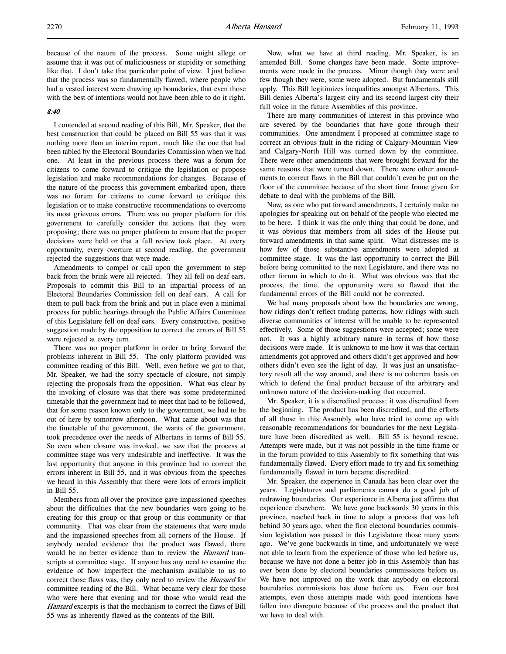because of the nature of the process. Some might allege or assume that it was out of maliciousness or stupidity or something like that. I don't take that particular point of view. I just believe that the process was so fundamentally flawed, where people who had a vested interest were drawing up boundaries, that even those with the best of intentions would not have been able to do it right.

### 8:40

I contended at second reading of this Bill, Mr. Speaker, that the best construction that could be placed on Bill 55 was that it was nothing more than an interim report, much like the one that had been tabled by the Electoral Boundaries Commission when we had one. At least in the previous process there was a forum for citizens to come forward to critique the legislation or propose legislation and make recommendations for changes. Because of the nature of the process this government embarked upon, there was no forum for citizens to come forward to critique this legislation or to make constructive recommendations to overcome its most grievous errors. There was no proper platform for this government to carefully consider the actions that they were proposing; there was no proper platform to ensure that the proper decisions were held or that a full review took place. At every opportunity, every overture at second reading, the government rejected the suggestions that were made.

Amendments to compel or call upon the government to step back from the brink were all rejected. They all fell on deaf ears. Proposals to commit this Bill to an impartial process of an Electoral Boundaries Commission fell on deaf ears. A call for them to pull back from the brink and put in place even a minimal process for public hearings through the Public Affairs Committee of this Legislature fell on deaf ears. Every constructive, positive suggestion made by the opposition to correct the errors of Bill 55 were rejected at every turn.

There was no proper platform in order to bring forward the problems inherent in Bill 55. The only platform provided was committee reading of this Bill. Well, even before we got to that, Mr. Speaker, we had the sorry spectacle of closure, not simply rejecting the proposals from the opposition. What was clear by the invoking of closure was that there was some predetermined timetable that the government had to meet that had to be followed, that for some reason known only to the government, we had to be out of here by tomorrow afternoon. What came about was that the timetable of the government, the wants of the government, took precedence over the needs of Albertans in terms of Bill 55. So even when closure was invoked, we saw that the process at committee stage was very undesirable and ineffective. It was the last opportunity that anyone in this province had to correct the errors inherent in Bill 55, and it was obvious from the speeches we heard in this Assembly that there were lots of errors implicit in Bill 55.

Members from all over the province gave impassioned speeches about the difficulties that the new boundaries were going to be creating for this group or that group or this community or that community. That was clear from the statements that were made and the impassioned speeches from all corners of the House. If anybody needed evidence that the product was flawed, there would be no better evidence than to review the *Hansard* transcripts at committee stage. If anyone has any need to examine the evidence of how imperfect the mechanism available to us to correct those flaws was, they only need to review the Hansard for committee reading of the Bill. What became very clear for those who were here that evening and for those who would read the Hansard excerpts is that the mechanism to correct the flaws of Bill 55 was as inherently flawed as the contents of the Bill.

Now, what we have at third reading, Mr. Speaker, is an amended Bill. Some changes have been made. Some improvements were made in the process. Minor though they were and few though they were, some were adopted. But fundamentals still apply. This Bill legitimizes inequalities amongst Albertans. This Bill denies Alberta's largest city and its second largest city their full voice in the future Assemblies of this province.

There are many communities of interest in this province who are severed by the boundaries that have gone through their communities. One amendment I proposed at committee stage to correct an obvious fault in the riding of Calgary-Mountain View and Calgary-North Hill was turned down by the committee. There were other amendments that were brought forward for the same reasons that were turned down. There were other amendments to correct flaws in the Bill that couldn't even be put on the floor of the committee because of the short time frame given for debate to deal with the problems of the Bill.

Now, as one who put forward amendments, I certainly make no apologies for speaking out on behalf of the people who elected me to be here. I think it was the only thing that could be done, and it was obvious that members from all sides of the House put forward amendments in that same spirit. What distresses me is how few of those substantive amendments were adopted at committee stage. It was the last opportunity to correct the Bill before being committed to the next Legislature, and there was no other forum in which to do it. What was obvious was that the process, the time, the opportunity were so flawed that the fundamental errors of the Bill could not be corrected.

We had many proposals about how the boundaries are wrong, how ridings don't reflect trading patterns, how ridings with such diverse communities of interest will be unable to be represented effectively. Some of those suggestions were accepted; some were not. It was a highly arbitrary nature in terms of how those decisions were made. It is unknown to me how it was that certain amendments got approved and others didn't get approved and how others didn't even see the light of day. It was just an unsatisfactory result all the way around, and there is no coherent basis on which to defend the final product because of the arbitrary and unknown nature of the decision-making that occurred.

Mr. Speaker, it is a discredited process; it was discredited from the beginning. The product has been discredited, and the efforts of all those in this Assembly who have tried to come up with reasonable recommendations for boundaries for the next Legislature have been discredited as well. Bill 55 is beyond rescue. Attempts were made, but it was not possible in the time frame or in the forum provided to this Assembly to fix something that was fundamentally flawed. Every effort made to try and fix something fundamentally flawed in turn became discredited.

Mr. Speaker, the experience in Canada has been clear over the years. Legislatures and parliaments cannot do a good job of redrawing boundaries. Our experience in Alberta just affirms that experience elsewhere. We have gone backwards 30 years in this province, reached back in time to adopt a process that was left behind 30 years ago, when the first electoral boundaries commission legislation was passed in this Legislature those many years ago. We've gone backwards in time, and unfortunately we were not able to learn from the experience of those who led before us, because we have not done a better job in this Assembly than has ever been done by electoral boundaries commissions before us. We have not improved on the work that anybody on electoral boundaries commissions has done before us. Even our best attempts, even those attempts made with good intentions have fallen into disrepute because of the process and the product that we have to deal with.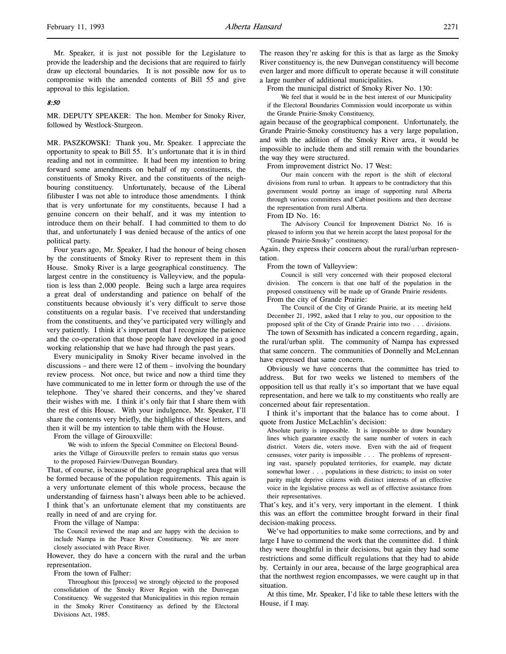Mr. Speaker, it is just not possible for the Legislature to provide the leadership and the decisions that are required to fairly draw up electoral boundaries. It is not possible now for us to compromise with the amended contents of Bill 55 and give approval to this legislation.

### 8:50

MR. DEPUTY SPEAKER: The hon. Member for Smoky River, followed by Westlock-Sturgeon.

MR. PASZKOWSKI: Thank you, Mr. Speaker. I appreciate the opportunity to speak to Bill 55. It's unfortunate that it is in third reading and not in committee. It had been my intention to bring forward some amendments on behalf of my constituents, the constituents of Smoky River, and the constituents of the neighbouring constituency. Unfortunately, because of the Liberal filibuster I was not able to introduce those amendments. I think that is very unfortunate for my constituents, because I had a genuine concern on their behalf, and it was my intention to introduce them on their behalf. I had committed to them to do that, and unfortunately I was denied because of the antics of one political party.

Four years ago, Mr. Speaker, I had the honour of being chosen by the constituents of Smoky River to represent them in this House. Smoky River is a large geographical constituency. The largest centre in the constituency is Valleyview, and the population is less than 2,000 people. Being such a large area requires a great deal of understanding and patience on behalf of the constituents because obviously it's very difficult to serve those constituents on a regular basis. I've received that understanding from the constituents, and they've participated very willingly and very patiently. I think it's important that I recognize the patience and the co-operation that those people have developed in a good working relationship that we have had through the past years.

Every municipality in Smoky River became involved in the discussions – and there were 12 of them – involving the boundary review process. Not once, but twice and now a third time they have communicated to me in letter form or through the use of the telephone. They've shared their concerns, and they've shared their wishes with me. I think it's only fair that I share them with the rest of this House. With your indulgence, Mr. Speaker, I'll share the contents very briefly, the highlights of these letters, and then it will be my intention to table them with the House.

From the village of Girouxville:

We wish to inform the Special Committee on Electoral Boundaries the Village of Girouxville prefers to remain status quo versus to the proposed Fairview/Dunvegan Boundary.

That, of course, is because of the huge geographical area that will be formed because of the population requirements. This again is a very unfortunate element of this whole process, because the understanding of fairness hasn't always been able to be achieved. I think that's an unfortunate element that my constituents are really in need of and are crying for.

From the village of Nampa:

The Council reviewed the map and are happy with the decision to include Nampa in the Peace River Constituency. We are more closely associated with Peace River.

However, they do have a concern with the rural and the urban representation.

From the town of Falher:

Throughout this [process] we strongly objected to the proposed consolidation of the Smoky River Region with the Dunvegan Constituency. We suggested that Municipalities in this region remain in the Smoky River Constituency as defined by the Electoral Divisions Act, 1985.

The reason they're asking for this is that as large as the Smoky River constituency is, the new Dunvegan constituency will become even larger and more difficult to operate because it will constitute a large number of additional municipalities.

From the municipal district of Smoky River No. 130:

We feel that it would be in the best interest of our Municipality if the Electoral Boundaries Commission would incorporate us within the Grande Prairie-Smoky Constituency,

again because of the geographical component. Unfortunately, the Grande Prairie-Smoky constituency has a very large population, and with the addition of the Smoky River area, it would be impossible to include them and still remain with the boundaries the way they were structured.

From improvement district No. 17 West:

Our main concern with the report is the shift of electoral divisions from rural to urban. It appears to be contradictory that this government would portray an image of supporting rural Alberta through various committees and Cabinet positions and then decrease the representation from rural Alberta.

From ID No. 16:

The Advisory Council for Improvement District No. 16 is pleased to inform you that we herein accept the latest proposal for the "Grande Prairie-Smoky" constituency.

Again, they express their concern about the rural/urban representation.

From the town of Valleyview:

Council is still very concerned with their proposed electoral division. The concern is that one half of the population in the proposed constituency will be made up of Grande Prairie residents. From the city of Grande Prairie:

The Council of the City of Grande Prairie, at its meeting held December 21, 1992, asked that I relay to you, our opposition to the proposed split of the City of Grande Prairie into two . . . divisions.

The town of Sexsmith has indicated a concern regarding, again, the rural/urban split. The community of Nampa has expressed that same concern. The communities of Donnelly and McLennan have expressed that same concern.

Obviously we have concerns that the committee has tried to address. But for two weeks we listened to members of the opposition tell us that really it's so important that we have equal representation, and here we talk to my constituents who really are concerned about fair representation.

I think it's important that the balance has to come about. I quote from Justice McLachlin's decision:

Absolute parity is impossible. It is impossible to draw boundary lines which guarantee exactly the same number of voters in each district. Voters die, voters move. Even with the aid of frequent censuses, voter parity is impossible . . . The problems of representing vast, sparsely populated territories, for example, may dictate somewhat lower . . . populations in these districts; to insist on voter parity might deprive citizens with distinct interests of an effective voice in the legislative process as well as of effective assistance from their representatives.

That's key, and it's very, very important in the element. I think this was an effort the committee brought forward in their final decision-making process.

We've had opportunities to make some corrections, and by and large I have to commend the work that the committee did. I think they were thoughtful in their decisions, but again they had some restrictions and some difficult regulations that they had to abide by. Certainly in our area, because of the large geographical area that the northwest region encompasses, we were caught up in that situation.

At this time, Mr. Speaker, I'd like to table these letters with the House, if I may.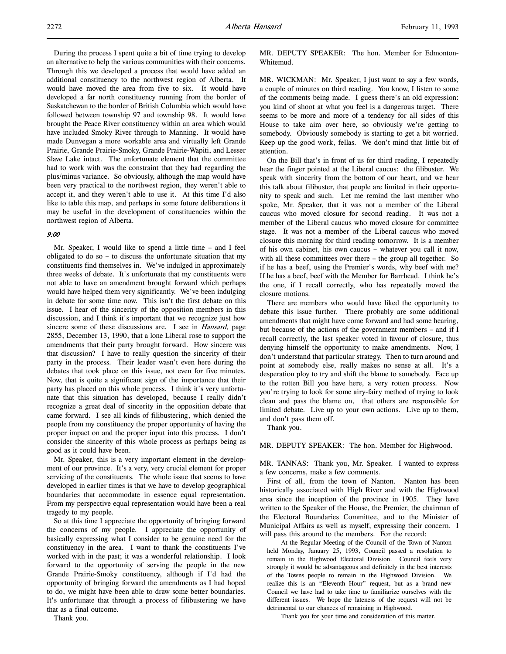During the process I spent quite a bit of time trying to develop an alternative to help the various communities with their concerns. Through this we developed a process that would have added an additional constituency to the northwest region of Alberta. It would have moved the area from five to six. It would have developed a far north constituency running from the border of Saskatchewan to the border of British Columbia which would have followed between township 97 and township 98. It would have brought the Peace River constituency within an area which would have included Smoky River through to Manning. It would have made Dunvegan a more workable area and virtually left Grande Prairie, Grande Prairie-Smoky, Grande Prairie-Wapiti, and Lesser Slave Lake intact. The unfortunate element that the committee had to work with was the constraint that they had regarding the plus/minus variance. So obviously, although the map would have been very practical to the northwest region, they weren't able to accept it, and they weren't able to use it. At this time I'd also like to table this map, and perhaps in some future deliberations it may be useful in the development of constituencies within the northwest region of Alberta.

#### 9:00

Mr. Speaker, I would like to spend a little time – and I feel obligated to do so – to discuss the unfortunate situation that my constituents find themselves in. We've indulged in approximately three weeks of debate. It's unfortunate that my constituents were not able to have an amendment brought forward which perhaps would have helped them very significantly. We've been indulging in debate for some time now. This isn't the first debate on this issue. I hear of the sincerity of the opposition members in this discussion, and I think it's important that we recognize just how sincere some of these discussions are. I see in *Hansard*, page 2855, December 13, 1990, that a lone Liberal rose to support the amendments that their party brought forward. How sincere was that discussion? I have to really question the sincerity of their party in the process. Their leader wasn't even here during the debates that took place on this issue, not even for five minutes. Now, that is quite a significant sign of the importance that their party has placed on this whole process. I think it's very unfortunate that this situation has developed, because I really didn't recognize a great deal of sincerity in the opposition debate that came forward. I see all kinds of filibustering, which denied the people from my constituency the proper opportunity of having the proper impact on and the proper input into this process. I don't consider the sincerity of this whole process as perhaps being as good as it could have been.

Mr. Speaker, this is a very important element in the development of our province. It's a very, very crucial element for proper servicing of the constituents. The whole issue that seems to have developed in earlier times is that we have to develop geographical boundaries that accommodate in essence equal representation. From my perspective equal representation would have been a real tragedy to my people.

So at this time I appreciate the opportunity of bringing forward the concerns of my people. I appreciate the opportunity of basically expressing what I consider to be genuine need for the constituency in the area. I want to thank the constituents I've worked with in the past; it was a wonderful relationship. I look forward to the opportunity of serving the people in the new Grande Prairie-Smoky constituency, although if I'd had the opportunity of bringing forward the amendments as I had hoped to do, we might have been able to draw some better boundaries. It's unfortunate that through a process of filibustering we have that as a final outcome.

Thank you.

MR. DEPUTY SPEAKER: The hon. Member for Edmonton-Whitemud.

MR. WICKMAN: Mr. Speaker, I just want to say a few words, a couple of minutes on third reading. You know, I listen to some of the comments being made. I guess there's an old expression: you kind of shoot at what you feel is a dangerous target. There seems to be more and more of a tendency for all sides of this House to take aim over here, so obviously we're getting to somebody. Obviously somebody is starting to get a bit worried. Keep up the good work, fellas. We don't mind that little bit of attention.

On the Bill that's in front of us for third reading, I repeatedly hear the finger pointed at the Liberal caucus: the filibuster. We speak with sincerity from the bottom of our heart, and we hear this talk about filibuster, that people are limited in their opportunity to speak and such. Let me remind the last member who spoke, Mr. Speaker, that it was not a member of the Liberal caucus who moved closure for second reading. It was not a member of the Liberal caucus who moved closure for committee stage. It was not a member of the Liberal caucus who moved closure this morning for third reading tomorrow. It is a member of his own cabinet, his own caucus – whatever you call it now, with all these committees over there – the group all together. So if he has a beef, using the Premier's words, why beef with me? If he has a beef, beef with the Member for Barrhead. I think he's the one, if I recall correctly, who has repeatedly moved the closure motions.

There are members who would have liked the opportunity to debate this issue further. There probably are some additional amendments that might have come forward and had some hearing, but because of the actions of the government members – and if I recall correctly, the last speaker voted in favour of closure, thus denying himself the opportunity to make amendments. Now, I don't understand that particular strategy. Then to turn around and point at somebody else, really makes no sense at all. It's a desperation ploy to try and shift the blame to somebody. Face up to the rotten Bill you have here, a very rotten process. Now you're trying to look for some airy-fairy method of trying to look clean and pass the blame on, that others are responsible for limited debate. Live up to your own actions. Live up to them, and don't pass them off.

Thank you.

MR. DEPUTY SPEAKER: The hon. Member for Highwood.

MR. TANNAS: Thank you, Mr. Speaker. I wanted to express a few concerns, make a few comments.

First of all, from the town of Nanton. Nanton has been historically associated with High River and with the Highwood area since the inception of the province in 1905. They have written to the Speaker of the House, the Premier, the chairman of the Electoral Boundaries Committee, and to the Minister of Municipal Affairs as well as myself, expressing their concern. I will pass this around to the members. For the record:

At the Regular Meeting of the Council of the Town of Nanton held Monday, January 25, 1993, Council passed a resolution to remain in the Highwood Electoral Division. Council feels very strongly it would be advantageous and definitely in the best interests of the Towns people to remain in the Highwood Division. We realize this is an "Eleventh Hour" request, but as a brand new Council we have had to take time to familiarize ourselves with the different issues. We hope the lateness of the request will not be detrimental to our chances of remaining in Highwood.

Thank you for your time and consideration of this matter.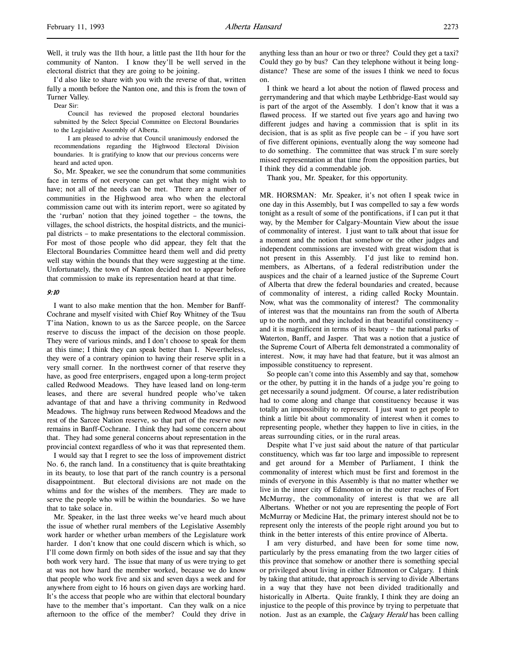I'd also like to share with you with the reverse of that, written fully a month before the Nanton one, and this is from the town of Turner Valley.

Dear Sir:

Council has reviewed the proposed electoral boundaries submitted by the Select Special Committee on Electoral Boundaries to the Legislative Assembly of Alberta.

I am pleased to advise that Council unanimously endorsed the recommendations regarding the Highwood Electoral Division boundaries. It is gratifying to know that our previous concerns were heard and acted upon.

So, Mr. Speaker, we see the conundrum that some communities face in terms of not everyone can get what they might wish to have; not all of the needs can be met. There are a number of communities in the Highwood area who when the electoral commission came out with its interim report, were so agitated by the 'rurban' notion that they joined together – the towns, the villages, the school districts, the hospital districts, and the municipal districts – to make presentations to the electoral commission. For most of those people who did appear, they felt that the Electoral Boundaries Committee heard them well and did pretty well stay within the bounds that they were suggesting at the time. Unfortunately, the town of Nanton decided not to appear before that commission to make its representation heard at that time.

#### 9:10

I want to also make mention that the hon. Member for Banff-Cochrane and myself visited with Chief Roy Whitney of the Tsuu T'ina Nation, known to us as the Sarcee people, on the Sarcee reserve to discuss the impact of the decision on those people. They were of various minds, and I don't choose to speak for them at this time; I think they can speak better than I. Nevertheless, they were of a contrary opinion to having their reserve split in a very small corner. In the northwest corner of that reserve they have, as good free enterprisers, engaged upon a long-term project called Redwood Meadows. They have leased land on long-term leases, and there are several hundred people who've taken advantage of that and have a thriving community in Redwood Meadows. The highway runs between Redwood Meadows and the rest of the Sarcee Nation reserve, so that part of the reserve now remains in Banff-Cochrane. I think they had some concern about that. They had some general concerns about representation in the provincial context regardless of who it was that represented them.

I would say that I regret to see the loss of improvement district No. 6, the ranch land. In a constituency that is quite breathtaking in its beauty, to lose that part of the ranch country is a personal disappointment. But electoral divisions are not made on the whims and for the wishes of the members. They are made to serve the people who will be within the boundaries. So we have that to take solace in.

Mr. Speaker, in the last three weeks we've heard much about the issue of whether rural members of the Legislative Assembly work harder or whether urban members of the Legislature work harder. I don't know that one could discern which is which, so I'll come down firmly on both sides of the issue and say that they both work very hard. The issue that many of us were trying to get at was not how hard the member worked, because we do know that people who work five and six and seven days a week and for anywhere from eight to 16 hours on given days are working hard. It's the access that people who are within that electoral boundary have to the member that's important. Can they walk on a nice afternoon to the office of the member? Could they drive in

anything less than an hour or two or three? Could they get a taxi? Could they go by bus? Can they telephone without it being longdistance? These are some of the issues I think we need to focus on.

I think we heard a lot about the notion of flawed process and gerrymandering and that which maybe Lethbridge-East would say is part of the argot of the Assembly. I don't know that it was a flawed process. If we started out five years ago and having two different judges and having a commission that is split in its decision, that is as split as five people can be – if you have sort of five different opinions, eventually along the way someone had to do something. The committee that was struck I'm sure sorely missed representation at that time from the opposition parties, but I think they did a commendable job.

Thank you, Mr. Speaker, for this opportunity.

MR. HORSMAN: Mr. Speaker, it's not often I speak twice in one day in this Assembly, but I was compelled to say a few words tonight as a result of some of the pontifications, if I can put it that way, by the Member for Calgary-Mountain View about the issue of commonality of interest. I just want to talk about that issue for a moment and the notion that somehow or the other judges and independent commissions are invested with great wisdom that is not present in this Assembly. I'd just like to remind hon. members, as Albertans, of a federal redistribution under the auspices and the chair of a learned justice of the Supreme Court of Alberta that drew the federal boundaries and created, because of commonality of interest, a riding called Rocky Mountain. Now, what was the commonality of interest? The commonality of interest was that the mountains ran from the south of Alberta up to the north, and they included in that beautiful constituency – and it is magnificent in terms of its beauty – the national parks of Waterton, Banff, and Jasper. That was a notion that a justice of the Supreme Court of Alberta felt demonstrated a commonality of interest. Now, it may have had that feature, but it was almost an impossible constituency to represent.

So people can't come into this Assembly and say that, somehow or the other, by putting it in the hands of a judge you're going to get necessarily a sound judgment. Of course, a later redistribution had to come along and change that constituency because it was totally an impossibility to represent. I just want to get people to think a little bit about commonality of interest when it comes to representing people, whether they happen to live in cities, in the areas surrounding cities, or in the rural areas.

Despite what I've just said about the nature of that particular constituency, which was far too large and impossible to represent and get around for a Member of Parliament, I think the commonality of interest which must be first and foremost in the minds of everyone in this Assembly is that no matter whether we live in the inner city of Edmonton or in the outer reaches of Fort McMurray, the commonality of interest is that we are all Albertans. Whether or not you are representing the people of Fort McMurray or Medicine Hat, the primary interest should not be to represent only the interests of the people right around you but to think in the better interests of this entire province of Alberta.

I am very disturbed, and have been for some time now, particularly by the press emanating from the two larger cities of this province that somehow or another there is something special or privileged about living in either Edmonton or Calgary. I think by taking that attitude, that approach is serving to divide Albertans in a way that they have not been divided traditionally and historically in Alberta. Quite frankly, I think they are doing an injustice to the people of this province by trying to perpetuate that notion. Just as an example, the *Calgary Herald* has been calling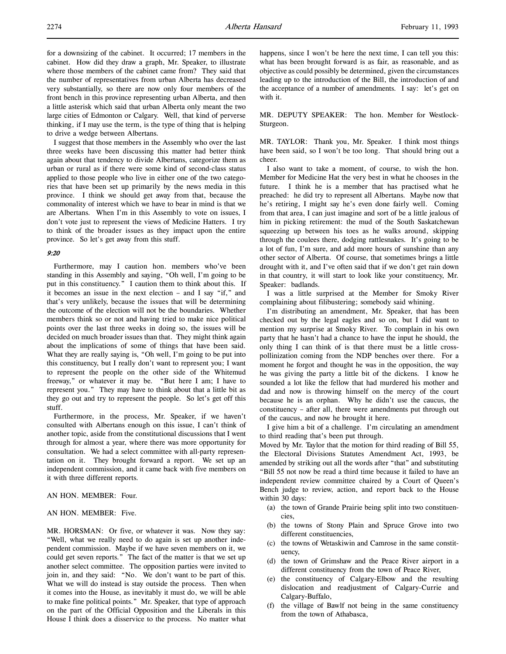for a downsizing of the cabinet. It occurred; 17 members in the cabinet. How did they draw a graph, Mr. Speaker, to illustrate where those members of the cabinet came from? They said that the number of representatives from urban Alberta has decreased very substantially, so there are now only four members of the front bench in this province representing urban Alberta, and then a little asterisk which said that urban Alberta only meant the two large cities of Edmonton or Calgary. Well, that kind of perverse thinking, if I may use the term, is the type of thing that is helping to drive a wedge between Albertans.

I suggest that those members in the Assembly who over the last three weeks have been discussing this matter had better think again about that tendency to divide Albertans, categorize them as urban or rural as if there were some kind of second-class status applied to those people who live in either one of the two categories that have been set up primarily by the news media in this province. I think we should get away from that, because the commonality of interest which we have to bear in mind is that we are Albertans. When I'm in this Assembly to vote on issues, I don't vote just to represent the views of Medicine Hatters. I try to think of the broader issues as they impact upon the entire province. So let's get away from this stuff.

### 9:20

Furthermore, may I caution hon. members who've been standing in this Assembly and saying, "Oh well, I'm going to be put in this constituency." I caution them to think about this. If it becomes an issue in the next election – and I say "if," and that's very unlikely, because the issues that will be determining the outcome of the election will not be the boundaries. Whether members think so or not and having tried to make nice political points over the last three weeks in doing so, the issues will be decided on much broader issues than that. They might think again about the implications of some of things that have been said. What they are really saying is, "Oh well, I'm going to be put into this constituency, but I really don't want to represent you; I want to represent the people on the other side of the Whitemud freeway," or whatever it may be. "But here I am; I have to represent you." They may have to think about that a little bit as they go out and try to represent the people. So let's get off this stuff.

Furthermore, in the process, Mr. Speaker, if we haven't consulted with Albertans enough on this issue, I can't think of another topic, aside from the constitutional discussions that I went through for almost a year, where there was more opportunity for consultation. We had a select committee with all-party representation on it. They brought forward a report. We set up an independent commission, and it came back with five members on it with three different reports.

# AN HON. MEMBER: Four.

## AN HON. MEMBER: Five.

MR. HORSMAN: Or five, or whatever it was. Now they say: "Well, what we really need to do again is set up another independent commission. Maybe if we have seven members on it, we could get seven reports." The fact of the matter is that we set up another select committee. The opposition parties were invited to join in, and they said: "No. We don't want to be part of this. What we will do instead is stay outside the process. Then when it comes into the House, as inevitably it must do, we will be able to make fine political points." Mr. Speaker, that type of approach on the part of the Official Opposition and the Liberals in this House I think does a disservice to the process. No matter what

happens, since I won't be here the next time, I can tell you this: what has been brought forward is as fair, as reasonable, and as objective as could possibly be determined, given the circumstances leading up to the introduction of the Bill, the introduction of and the acceptance of a number of amendments. I say: let's get on with it.

MR. DEPUTY SPEAKER: The hon. Member for Westlock-Sturgeon.

MR. TAYLOR: Thank you, Mr. Speaker. I think most things have been said, so I won't be too long. That should bring out a cheer.

I also want to take a moment, of course, to wish the hon. Member for Medicine Hat the very best in what he chooses in the future. I think he is a member that has practised what he preached: he did try to represent all Albertans. Maybe now that he's retiring, I might say he's even done fairly well. Coming from that area, I can just imagine and sort of be a little jealous of him in picking retirement: the mud of the South Saskatchewan squeezing up between his toes as he walks around, skipping through the coulees there, dodging rattlesnakes. It's going to be a lot of fun, I'm sure, and add more hours of sunshine than any other sector of Alberta. Of course, that sometimes brings a little drought with it, and I've often said that if we don't get rain down in that country, it will start to look like your constituency, Mr. Speaker: badlands.

I was a little surprised at the Member for Smoky River complaining about filibustering; somebody said whining.

I'm distributing an amendment, Mr. Speaker, that has been checked out by the legal eagles and so on, but I did want to mention my surprise at Smoky River. To complain in his own party that he hasn't had a chance to have the input he should, the only thing I can think of is that there must be a little crosspollinization coming from the NDP benches over there. For a moment he forgot and thought he was in the opposition, the way he was giving the party a little bit of the dickens. I know he sounded a lot like the fellow that had murdered his mother and dad and now is throwing himself on the mercy of the court because he is an orphan. Why he didn't use the caucus, the constituency – after all, there were amendments put through out of the caucus, and now he brought it here.

I give him a bit of a challenge. I'm circulating an amendment to third reading that's been put through.

Moved by Mr. Taylor that the motion for third reading of Bill 55, the Electoral Divisions Statutes Amendment Act, 1993, be amended by striking out all the words after "that" and substituting "Bill 55 not now be read a third time because it failed to have an independent review committee chaired by a Court of Queen's Bench judge to review, action, and report back to the House within 30 days:

- (a) the town of Grande Prairie being split into two constituencies,
- (b) the towns of Stony Plain and Spruce Grove into two different constituencies,
- (c) the towns of Wetaskiwin and Camrose in the same constituency,
- (d) the town of Grimshaw and the Peace River airport in a different constituency from the town of Peace River,
- (e) the constituency of Calgary-Elbow and the resulting dislocation and readjustment of Calgary-Currie and Calgary-Buffalo,
- (f) the village of Bawlf not being in the same constituency from the town of Athabasca,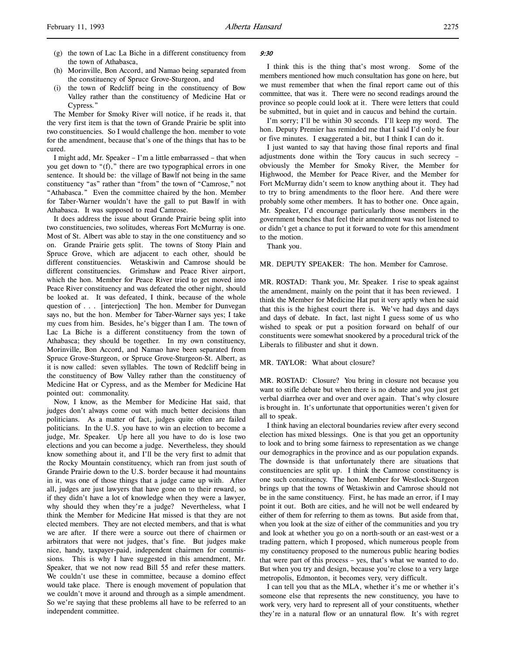- (g) the town of Lac La Biche in a different constituency from the town of Athabasca,
- (h) Morinville, Bon Accord, and Namao being separated from the constituency of Spruce Grove-Sturgeon, and
- (i) the town of Redcliff being in the constituency of Bow Valley rather than the constituency of Medicine Hat or Cypress."

The Member for Smoky River will notice, if he reads it, that the very first item is that the town of Grande Prairie be split into two constituencies. So I would challenge the hon. member to vote for the amendment, because that's one of the things that has to be cured.

I might add, Mr. Speaker – I'm a little embarrassed – that when you get down to "(f)," there are two typographical errors in one sentence. It should be: the village of Bawlf not being in the same constituency "as" rather than "from" the town of "Camrose," not "Athabasca." Even the committee chaired by the hon. Member for Taber-Warner wouldn't have the gall to put Bawlf in with Athabasca. It was supposed to read Camrose.

It does address the issue about Grande Prairie being split into two constituencies, two solitudes, whereas Fort McMurray is one. Most of St. Albert was able to stay in the one constituency and so on. Grande Prairie gets split. The towns of Stony Plain and Spruce Grove, which are adjacent to each other, should be different constituencies. Wetaskiwin and Camrose should be different constituencies. Grimshaw and Peace River airport, which the hon. Member for Peace River tried to get moved into Peace River constituency and was defeated the other night, should be looked at. It was defeated, I think, because of the whole question of . . . [interjection] The hon. Member for Dunvegan says no, but the hon. Member for Taber-Warner says yes; I take my cues from him. Besides, he's bigger than I am. The town of Lac La Biche is a different constituency from the town of Athabasca; they should be together. In my own constituency, Morinville, Bon Accord, and Namao have been separated from Spruce Grove-Sturgeon, or Spruce Grove-Sturgeon-St. Albert, as it is now called: seven syllables. The town of Redcliff being in the constituency of Bow Valley rather than the constituency of Medicine Hat or Cypress, and as the Member for Medicine Hat pointed out: commonality.

Now, I know, as the Member for Medicine Hat said, that judges don't always come out with much better decisions than politicians. As a matter of fact, judges quite often are failed politicians. In the U.S. you have to win an election to become a judge, Mr. Speaker. Up here all you have to do is lose two elections and you can become a judge. Nevertheless, they should know something about it, and I'll be the very first to admit that the Rocky Mountain constituency, which ran from just south of Grande Prairie down to the U.S. border because it had mountains in it, was one of those things that a judge came up with. After all, judges are just lawyers that have gone on to their reward, so if they didn't have a lot of knowledge when they were a lawyer, why should they when they're a judge? Nevertheless, what I think the Member for Medicine Hat missed is that they are not elected members. They are not elected members, and that is what we are after. If there were a source out there of chairmen or arbitrators that were not judges, that's fine. But judges make nice, handy, taxpayer-paid, independent chairmen for commissions. This is why I have suggested in this amendment, Mr. Speaker, that we not now read Bill 55 and refer these matters. We couldn't use these in committee, because a domino effect would take place. There is enough movement of population that we couldn't move it around and through as a simple amendment. So we're saying that these problems all have to be referred to an independent committee.

# $9.30$

I think this is the thing that's most wrong. Some of the members mentioned how much consultation has gone on here, but we must remember that when the final report came out of this committee, that was it. There were no second readings around the province so people could look at it. There were letters that could be submitted, but in quiet and in caucus and behind the curtain.

I'm sorry; I'll be within 30 seconds. I'll keep my word. The hon. Deputy Premier has reminded me that I said I'd only be four or five minutes. I exaggerated a bit, but I think I can do it.

I just wanted to say that having those final reports and final adjustments done within the Tory caucus in such secrecy – obviously the Member for Smoky River, the Member for Highwood, the Member for Peace River, and the Member for Fort McMurray didn't seem to know anything about it. They had to try to bring amendments to the floor here. And there were probably some other members. It has to bother one. Once again, Mr. Speaker, I'd encourage particularly those members in the government benches that feel their amendment was not listened to or didn't get a chance to put it forward to vote for this amendment to the motion.

Thank you.

MR. DEPUTY SPEAKER: The hon. Member for Camrose.

MR. ROSTAD: Thank you, Mr. Speaker. I rise to speak against the amendment, mainly on the point that it has been reviewed. I think the Member for Medicine Hat put it very aptly when he said that this is the highest court there is. We've had days and days and days of debate. In fact, last night I guess some of us who wished to speak or put a position forward on behalf of our constituents were somewhat snookered by a procedural trick of the Liberals to filibuster and shut it down.

#### MR. TAYLOR: What about closure?

MR. ROSTAD: Closure? You bring in closure not because you want to stifle debate but when there is no debate and you just get verbal diarrhea over and over and over again. That's why closure is brought in. It's unfortunate that opportunities weren't given for all to speak.

I think having an electoral boundaries review after every second election has mixed blessings. One is that you get an opportunity to look and to bring some fairness to representation as we change our demographics in the province and as our population expands. The downside is that unfortunately there are situations that constituencies are split up. I think the Camrose constituency is one such constituency. The hon. Member for Westlock-Sturgeon brings up that the towns of Wetaskiwin and Camrose should not be in the same constituency. First, he has made an error, if I may point it out. Both are cities, and he will not be well endeared by either of them for referring to them as towns. But aside from that, when you look at the size of either of the communities and you try and look at whether you go on a north-south or an east-west or a trading pattern, which I proposed, which numerous people from my constituency proposed to the numerous public hearing bodies that were part of this process – yes, that's what we wanted to do. But when you try and design, because you're close to a very large metropolis, Edmonton, it becomes very, very difficult.

I can tell you that as the MLA, whether it's me or whether it's someone else that represents the new constituency, you have to work very, very hard to represent all of your constituents, whether they're in a natural flow or an unnatural flow. It's with regret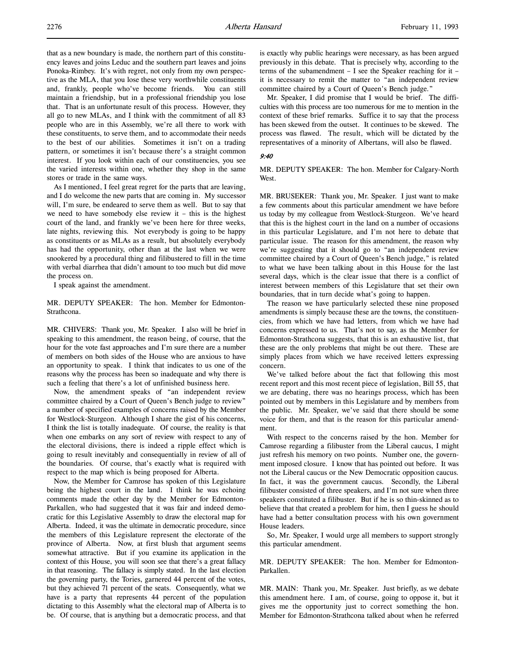that as a new boundary is made, the northern part of this constituency leaves and joins Leduc and the southern part leaves and joins Ponoka-Rimbey. It's with regret, not only from my own perspective as the MLA, that you lose these very worthwhile constituents and, frankly, people who've become friends. You can still maintain a friendship, but in a professional friendship you lose that. That is an unfortunate result of this process. However, they all go to new MLAs, and I think with the commitment of all 83 people who are in this Assembly, we're all there to work with these constituents, to serve them, and to accommodate their needs to the best of our abilities. Sometimes it isn't on a trading pattern, or sometimes it isn't because there's a straight common interest. If you look within each of our constituencies, you see the varied interests within one, whether they shop in the same stores or trade in the same ways.

As I mentioned, I feel great regret for the parts that are leaving, and I do welcome the new parts that are coming in. My successor will, I'm sure, be endeared to serve them as well. But to say that we need to have somebody else review it – this is the highest court of the land, and frankly we've been here for three weeks, late nights, reviewing this. Not everybody is going to be happy as constituents or as MLAs as a result, but absolutely everybody has had the opportunity, other than at the last when we were snookered by a procedural thing and filibustered to fill in the time with verbal diarrhea that didn't amount to too much but did move the process on.

I speak against the amendment.

MR. DEPUTY SPEAKER: The hon. Member for Edmonton-Strathcona.

MR. CHIVERS: Thank you, Mr. Speaker. I also will be brief in speaking to this amendment, the reason being, of course, that the hour for the vote fast approaches and I'm sure there are a number of members on both sides of the House who are anxious to have an opportunity to speak. I think that indicates to us one of the reasons why the process has been so inadequate and why there is such a feeling that there's a lot of unfinished business here.

Now, the amendment speaks of "an independent review committee chaired by a Court of Queen's Bench judge to review" a number of specified examples of concerns raised by the Member for Westlock-Sturgeon. Although I share the gist of his concerns, I think the list is totally inadequate. Of course, the reality is that when one embarks on any sort of review with respect to any of the electoral divisions, there is indeed a ripple effect which is going to result inevitably and consequentially in review of all of the boundaries. Of course, that's exactly what is required with respect to the map which is being proposed for Alberta.

Now, the Member for Camrose has spoken of this Legislature being the highest court in the land. I think he was echoing comments made the other day by the Member for Edmonton-Parkallen, who had suggested that it was fair and indeed democratic for this Legislative Assembly to draw the electoral map for Alberta. Indeed, it was the ultimate in democratic procedure, since the members of this Legislature represent the electorate of the province of Alberta. Now, at first blush that argument seems somewhat attractive. But if you examine its application in the context of this House, you will soon see that there's a great fallacy in that reasoning. The fallacy is simply stated. In the last election the governing party, the Tories, garnered 44 percent of the votes, but they achieved 71 percent of the seats. Consequently, what we have is a party that represents 44 percent of the population dictating to this Assembly what the electoral map of Alberta is to be. Of course, that is anything but a democratic process, and that is exactly why public hearings were necessary, as has been argued previously in this debate. That is precisely why, according to the terms of the subamendment – I see the Speaker reaching for it – it is necessary to remit the matter to "an independent review committee chaired by a Court of Queen's Bench judge."

Mr. Speaker, I did promise that I would be brief. The difficulties with this process are too numerous for me to mention in the context of these brief remarks. Suffice it to say that the process has been skewed from the outset. It continues to be skewed. The process was flawed. The result, which will be dictated by the representatives of a minority of Albertans, will also be flawed.

#### 9:40

MR. DEPUTY SPEAKER: The hon. Member for Calgary-North West.

MR. BRUSEKER: Thank you, Mr. Speaker. I just want to make a few comments about this particular amendment we have before us today by my colleague from Westlock-Sturgeon. We've heard that this is the highest court in the land on a number of occasions in this particular Legislature, and I'm not here to debate that particular issue. The reason for this amendment, the reason why we're suggesting that it should go to "an independent review committee chaired by a Court of Queen's Bench judge," is related to what we have been talking about in this House for the last several days, which is the clear issue that there is a conflict of interest between members of this Legislature that set their own boundaries, that in turn decide what's going to happen.

The reason we have particularly selected these nine proposed amendments is simply because these are the towns, the constituencies, from which we have had letters, from which we have had concerns expressed to us. That's not to say, as the Member for Edmonton-Strathcona suggests, that this is an exhaustive list, that these are the only problems that might be out there. These are simply places from which we have received letters expressing concern.

We've talked before about the fact that following this most recent report and this most recent piece of legislation, Bill 55, that we are debating, there was no hearings process, which has been pointed out by members in this Legislature and by members from the public. Mr. Speaker, we've said that there should be some voice for them, and that is the reason for this particular amendment.

With respect to the concerns raised by the hon. Member for Camrose regarding a filibuster from the Liberal caucus, I might just refresh his memory on two points. Number one, the government imposed closure. I know that has pointed out before. It was not the Liberal caucus or the New Democratic opposition caucus. In fact, it was the government caucus. Secondly, the Liberal filibuster consisted of three speakers, and I'm not sure when three speakers constituted a filibuster. But if he is so thin-skinned as to believe that that created a problem for him, then I guess he should have had a better consultation process with his own government House leaders.

So, Mr. Speaker, I would urge all members to support strongly this particular amendment.

MR. DEPUTY SPEAKER: The hon. Member for Edmonton-Parkallen.

MR. MAIN: Thank you, Mr. Speaker. Just briefly, as we debate this amendment here. I am, of course, going to oppose it, but it gives me the opportunity just to correct something the hon. Member for Edmonton-Strathcona talked about when he referred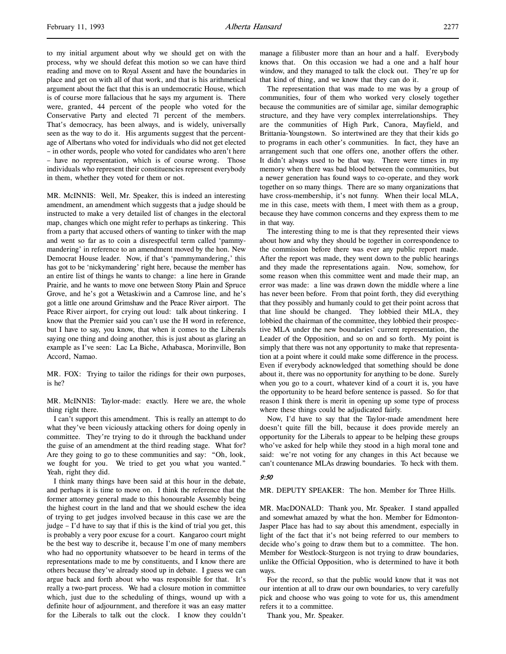to my initial argument about why we should get on with the process, why we should defeat this motion so we can have third reading and move on to Royal Assent and have the boundaries in place and get on with all of that work, and that is his arithmetical argument about the fact that this is an undemocratic House, which is of course more fallacious that he says my argument is. There were, granted, 44 percent of the people who voted for the Conservative Party and elected 71 percent of the members. That's democracy, has been always, and is widely, universally seen as the way to do it. His arguments suggest that the percentage of Albertans who voted for individuals who did not get elected – in other words, people who voted for candidates who aren't here – have no representation, which is of course wrong. Those individuals who represent their constituencies represent everybody in them, whether they voted for them or not.

MR. McINNIS: Well, Mr. Speaker, this is indeed an interesting amendment, an amendment which suggests that a judge should be instructed to make a very detailed list of changes in the electoral map, changes which one might refer to perhaps as tinkering. This from a party that accused others of wanting to tinker with the map and went so far as to coin a disrespectful term called 'pammymandering' in reference to an amendment moved by the hon. New Democrat House leader. Now, if that's 'pammymandering,' this has got to be 'nickymandering' right here, because the member has an entire list of things he wants to change: a line here in Grande Prairie, and he wants to move one between Stony Plain and Spruce Grove, and he's got a Wetaskiwin and a Camrose line, and he's got a little one around Grimshaw and the Peace River airport. The Peace River airport, for crying out loud: talk about tinkering. I know that the Premier said you can't use the H word in reference, but I have to say, you know, that when it comes to the Liberals saying one thing and doing another, this is just about as glaring an example as I've seen: Lac La Biche, Athabasca, Morinville, Bon Accord, Namao.

MR. FOX: Trying to tailor the ridings for their own purposes, is he?

MR. McINNIS: Taylor-made: exactly. Here we are, the whole thing right there.

I can't support this amendment. This is really an attempt to do what they've been viciously attacking others for doing openly in committee. They're trying to do it through the backhand under the guise of an amendment at the third reading stage. What for? Are they going to go to these communities and say: "Oh, look, we fought for you. We tried to get you what you wanted." Yeah, right they did.

I think many things have been said at this hour in the debate, and perhaps it is time to move on. I think the reference that the former attorney general made to this honourable Assembly being the highest court in the land and that we should eschew the idea of trying to get judges involved because in this case we are the judge – I'd have to say that if this is the kind of trial you get, this is probably a very poor excuse for a court. Kangaroo court might be the best way to describe it, because I'm one of many members who had no opportunity whatsoever to be heard in terms of the representations made to me by constituents, and I know there are others because they've already stood up in debate. I guess we can argue back and forth about who was responsible for that. It's really a two-part process. We had a closure motion in committee which, just due to the scheduling of things, wound up with a definite hour of adjournment, and therefore it was an easy matter for the Liberals to talk out the clock. I know they couldn't manage a filibuster more than an hour and a half. Everybody knows that. On this occasion we had a one and a half hour window, and they managed to talk the clock out. They're up for that kind of thing, and we know that they can do it.

The representation that was made to me was by a group of communities, four of them who worked very closely together because the communities are of similar age, similar demographic structure, and they have very complex interrelationships. They are the communities of High Park, Canora, Mayfield, and Brittania-Youngstown. So intertwined are they that their kids go to programs in each other's communities. In fact, they have an arrangement such that one offers one, another offers the other. It didn't always used to be that way. There were times in my memory when there was bad blood between the communities, but a newer generation has found ways to co-operate, and they work together on so many things. There are so many organizations that have cross-membership, it's not funny. When their local MLA, me in this case, meets with them, I meet with them as a group, because they have common concerns and they express them to me in that way.

The interesting thing to me is that they represented their views about how and why they should be together in correspondence to the commission before there was ever any public report made. After the report was made, they went down to the public hearings and they made the representations again. Now, somehow, for some reason when this committee went and made their map, an error was made: a line was drawn down the middle where a line has never been before. From that point forth, they did everything that they possibly and humanly could to get their point across that that line should be changed. They lobbied their MLA, they lobbied the chairman of the committee, they lobbied their prospective MLA under the new boundaries' current representation, the Leader of the Opposition, and so on and so forth. My point is simply that there was not any opportunity to make that representation at a point where it could make some difference in the process. Even if everybody acknowledged that something should be done about it, there was no opportunity for anything to be done. Surely when you go to a court, whatever kind of a court it is, you have the opportunity to be heard before sentence is passed. So for that reason I think there is merit in opening up some type of process where these things could be adjudicated fairly.

Now, I'd have to say that the Taylor-made amendment here doesn't quite fill the bill, because it does provide merely an opportunity for the Liberals to appear to be helping these groups who've asked for help while they stood in a high moral tone and said: we're not voting for any changes in this Act because we can't countenance MLAs drawing boundaries. To heck with them.

# 9:50

MR. DEPUTY SPEAKER: The hon. Member for Three Hills.

MR. MacDONALD: Thank you, Mr. Speaker. I stand appalled and somewhat amazed by what the hon. Member for Edmonton-Jasper Place has had to say about this amendment, especially in light of the fact that it's not being referred to our members to decide who's going to draw them but to a committee. The hon. Member for Westlock-Sturgeon is not trying to draw boundaries, unlike the Official Opposition, who is determined to have it both ways.

For the record, so that the public would know that it was not our intention at all to draw our own boundaries, to very carefully pick and choose who was going to vote for us, this amendment refers it to a committee.

Thank you, Mr. Speaker.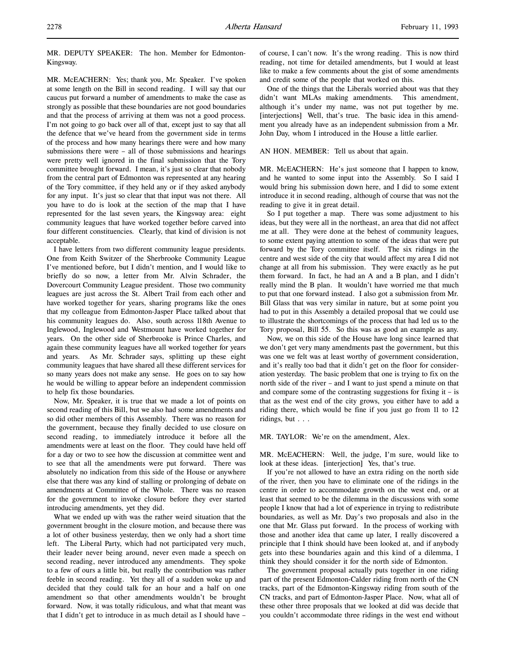MR. DEPUTY SPEAKER: The hon. Member for Edmonton-Kingsway.

MR. McEACHERN: Yes; thank you, Mr. Speaker. I've spoken at some length on the Bill in second reading. I will say that our caucus put forward a number of amendments to make the case as strongly as possible that these boundaries are not good boundaries and that the process of arriving at them was not a good process. I'm not going to go back over all of that, except just to say that all the defence that we've heard from the government side in terms of the process and how many hearings there were and how many submissions there were – all of those submissions and hearings were pretty well ignored in the final submission that the Tory committee brought forward. I mean, it's just so clear that nobody from the central part of Edmonton was represented at any hearing of the Tory committee, if they held any or if they asked anybody for any input. It's just so clear that that input was not there. All you have to do is look at the section of the map that I have represented for the last seven years, the Kingsway area: eight community leagues that have worked together before carved into four different constituencies. Clearly, that kind of division is not acceptable.

I have letters from two different community league presidents. One from Keith Switzer of the Sherbrooke Community League I've mentioned before, but I didn't mention, and I would like to briefly do so now, a letter from Mr. Alvin Schrader, the Dovercourt Community League president. Those two community leagues are just across the St. Albert Trail from each other and have worked together for years, sharing programs like the ones that my colleague from Edmonton-Jasper Place talked about that his community leagues do. Also, south across 118th Avenue to Inglewood, Inglewood and Westmount have worked together for years. On the other side of Sherbrooke is Prince Charles, and again these community leagues have all worked together for years and years. As Mr. Schrader says, splitting up these eight community leagues that have shared all these different services for so many years does not make any sense. He goes on to say how he would be willing to appear before an independent commission to help fix those boundaries.

Now, Mr. Speaker, it is true that we made a lot of points on second reading of this Bill, but we also had some amendments and so did other members of this Assembly. There was no reason for the government, because they finally decided to use closure on second reading, to immediately introduce it before all the amendments were at least on the floor. They could have held off for a day or two to see how the discussion at committee went and to see that all the amendments were put forward. There was absolutely no indication from this side of the House or anywhere else that there was any kind of stalling or prolonging of debate on amendments at Committee of the Whole. There was no reason for the government to invoke closure before they ever started introducing amendments, yet they did.

What we ended up with was the rather weird situation that the government brought in the closure motion, and because there was a lot of other business yesterday, then we only had a short time left. The Liberal Party, which had not participated very much, their leader never being around, never even made a speech on second reading, never introduced any amendments. They spoke to a few of ours a little bit, but really the contribution was rather feeble in second reading. Yet they all of a sudden woke up and decided that they could talk for an hour and a half on one amendment so that other amendments wouldn't be brought forward. Now, it was totally ridiculous, and what that meant was that I didn't get to introduce in as much detail as I should have –

of course, I can't now. It's the wrong reading. This is now third reading, not time for detailed amendments, but I would at least like to make a few comments about the gist of some amendments and credit some of the people that worked on this.

One of the things that the Liberals worried about was that they didn't want MLAs making amendments. This amendment, although it's under my name, was not put together by me. [interjections] Well, that's true. The basic idea in this amendment you already have as an independent submission from a Mr. John Day, whom I introduced in the House a little earlier.

AN HON. MEMBER: Tell us about that again.

MR. McEACHERN: He's just someone that I happen to know, and he wanted to some input into the Assembly. So I said I would bring his submission down here, and I did to some extent introduce it in second reading, although of course that was not the reading to give it in great detail.

So I put together a map. There was some adjustment to his ideas, but they were all in the northeast, an area that did not affect me at all. They were done at the behest of community leagues, to some extent paying attention to some of the ideas that were put forward by the Tory committee itself. The six ridings in the centre and west side of the city that would affect my area I did not change at all from his submission. They were exactly as he put them forward. In fact, he had an A and a B plan, and I didn't really mind the B plan. It wouldn't have worried me that much to put that one forward instead. I also got a submission from Mr. Bill Glass that was very similar in nature, but at some point you had to put in this Assembly a detailed proposal that we could use to illustrate the shortcomings of the process that had led us to the Tory proposal, Bill 55. So this was as good an example as any.

Now, we on this side of the House have long since learned that we don't get very many amendments past the government, but this was one we felt was at least worthy of government consideration, and it's really too bad that it didn't get on the floor for consideration yesterday. The basic problem that one is trying to fix on the north side of the river – and I want to just spend a minute on that and compare some of the contrasting suggestions for fixing  $it - is$ that as the west end of the city grows, you either have to add a riding there, which would be fine if you just go from 11 to 12 ridings, but . . .

MR. TAYLOR: We're on the amendment, Alex.

MR. McEACHERN: Well, the judge, I'm sure, would like to look at these ideas. [interjection] Yes, that's true.

If you're not allowed to have an extra riding on the north side of the river, then you have to eliminate one of the ridings in the centre in order to accommodate growth on the west end, or at least that seemed to be the dilemma in the discussions with some people I know that had a lot of experience in trying to redistribute boundaries, as well as Mr. Day's two proposals and also in the one that Mr. Glass put forward. In the process of working with those and another idea that came up later, I really discovered a principle that I think should have been looked at, and if anybody gets into these boundaries again and this kind of a dilemma, I think they should consider it for the north side of Edmonton.

The government proposal actually puts together in one riding part of the present Edmonton-Calder riding from north of the CN tracks, part of the Edmonton-Kingsway riding from south of the CN tracks, and part of Edmonton-Jasper Place. Now, what all of these other three proposals that we looked at did was decide that you couldn't accommodate three ridings in the west end without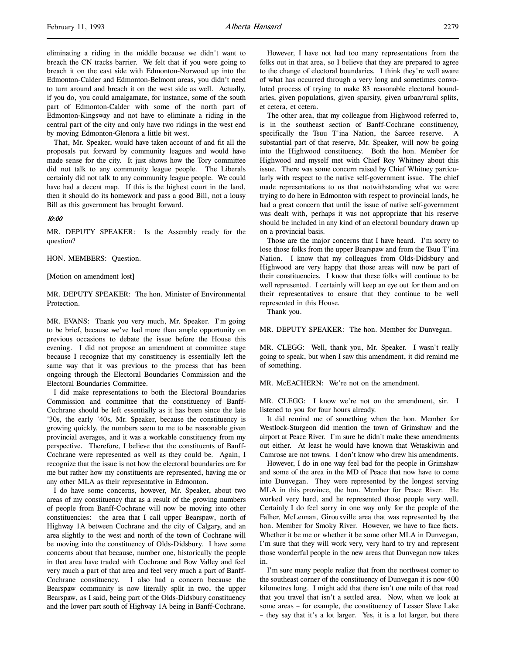eliminating a riding in the middle because we didn't want to breach the CN tracks barrier. We felt that if you were going to breach it on the east side with Edmonton-Norwood up into the Edmonton-Calder and Edmonton-Belmont areas, you didn't need to turn around and breach it on the west side as well. Actually, if you do, you could amalgamate, for instance, some of the south part of Edmonton-Calder with some of the north part of Edmonton-Kingsway and not have to eliminate a riding in the central part of the city and only have two ridings in the west end by moving Edmonton-Glenora a little bit west.

That, Mr. Speaker, would have taken account of and fit all the proposals put forward by community leagues and would have made sense for the city. It just shows how the Tory committee did not talk to any community league people. The Liberals certainly did not talk to any community league people. We could have had a decent map. If this is the highest court in the land, then it should do its homework and pass a good Bill, not a lousy Bill as this government has brought forward.

# 10:00

MR. DEPUTY SPEAKER: Is the Assembly ready for the question?

HON. MEMBERS: Question.

[Motion on amendment lost]

MR. DEPUTY SPEAKER: The hon. Minister of Environmental Protection.

MR. EVANS: Thank you very much, Mr. Speaker. I'm going to be brief, because we've had more than ample opportunity on previous occasions to debate the issue before the House this evening. I did not propose an amendment at committee stage because I recognize that my constituency is essentially left the same way that it was previous to the process that has been ongoing through the Electoral Boundaries Commission and the Electoral Boundaries Committee.

I did make representations to both the Electoral Boundaries Commission and committee that the constituency of Banff-Cochrane should be left essentially as it has been since the late '30s, the early '40s, Mr. Speaker, because the constituency is growing quickly, the numbers seem to me to be reasonable given provincial averages, and it was a workable constituency from my perspective. Therefore, I believe that the constituents of Banff-Cochrane were represented as well as they could be. Again, I recognize that the issue is not how the electoral boundaries are for me but rather how my constituents are represented, having me or any other MLA as their representative in Edmonton.

I do have some concerns, however, Mr. Speaker, about two areas of my constituency that as a result of the growing numbers of people from Banff-Cochrane will now be moving into other constituencies: the area that I call upper Bearspaw, north of Highway 1A between Cochrane and the city of Calgary, and an area slightly to the west and north of the town of Cochrane will be moving into the constituency of Olds-Didsbury. I have some concerns about that because, number one, historically the people in that area have traded with Cochrane and Bow Valley and feel very much a part of that area and feel very much a part of Banff-Cochrane constituency. I also had a concern because the Bearspaw community is now literally split in two, the upper Bearspaw, as I said, being part of the Olds-Didsbury constituency and the lower part south of Highway 1A being in Banff-Cochrane.

However, I have not had too many representations from the folks out in that area, so I believe that they are prepared to agree to the change of electoral boundaries. I think they're well aware of what has occurred through a very long and sometimes convoluted process of trying to make 83 reasonable electoral boundaries, given populations, given sparsity, given urban/rural splits, et cetera, et cetera.

The other area, that my colleague from Highwood referred to, is in the southeast section of Banff-Cochrane constituency, specifically the Tsuu T'ina Nation, the Sarcee reserve. A substantial part of that reserve, Mr. Speaker, will now be going into the Highwood constituency. Both the hon. Member for Highwood and myself met with Chief Roy Whitney about this issue. There was some concern raised by Chief Whitney particularly with respect to the native self-government issue. The chief made representations to us that notwithstanding what we were trying to do here in Edmonton with respect to provincial lands, he had a great concern that until the issue of native self-government was dealt with, perhaps it was not appropriate that his reserve should be included in any kind of an electoral boundary drawn up on a provincial basis.

Those are the major concerns that I have heard. I'm sorry to lose those folks from the upper Bearspaw and from the Tsuu T'ina Nation. I know that my colleagues from Olds-Didsbury and Highwood are very happy that those areas will now be part of their constituencies. I know that these folks will continue to be well represented. I certainly will keep an eye out for them and on their representatives to ensure that they continue to be well represented in this House.

Thank you.

MR. DEPUTY SPEAKER: The hon. Member for Dunvegan.

MR. CLEGG: Well, thank you, Mr. Speaker. I wasn't really going to speak, but when I saw this amendment, it did remind me of something.

MR. McEACHERN: We're not on the amendment.

MR. CLEGG: I know we're not on the amendment, sir. I listened to you for four hours already.

It did remind me of something when the hon. Member for Westlock-Sturgeon did mention the town of Grimshaw and the airport at Peace River. I'm sure he didn't make these amendments out either. At least he would have known that Wetaskiwin and Camrose are not towns. I don't know who drew his amendments.

However, I do in one way feel bad for the people in Grimshaw and some of the area in the MD of Peace that now have to come into Dunvegan. They were represented by the longest serving MLA in this province, the hon. Member for Peace River. He worked very hard, and he represented those people very well. Certainly I do feel sorry in one way only for the people of the Falher, McLennan, Girouxville area that was represented by the hon. Member for Smoky River. However, we have to face facts. Whether it be me or whether it be some other MLA in Dunvegan, I'm sure that they will work very, very hard to try and represent those wonderful people in the new areas that Dunvegan now takes in.

I'm sure many people realize that from the northwest corner to the southeast corner of the constituency of Dunvegan it is now 400 kilometres long. I might add that there isn't one mile of that road that you travel that isn't a settled area. Now, when we look at some areas – for example, the constituency of Lesser Slave Lake – they say that it's a lot larger. Yes, it is a lot larger, but there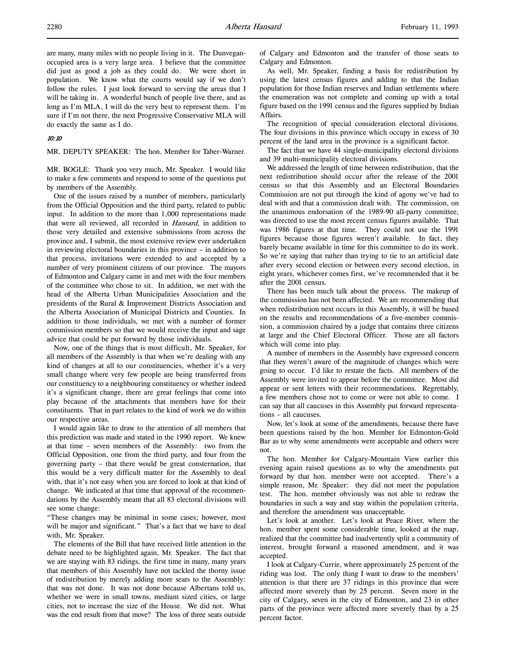### 10:10

MR. DEPUTY SPEAKER: The hon. Member for Taber-Warner.

MR. BOGLE: Thank you very much, Mr. Speaker. I would like to make a few comments and respond to some of the questions put by members of the Assembly.

One of the issues raised by a number of members, particularly from the Official Opposition and the third party, related to public input. In addition to the more than 1,000 representations made that were all reviewed, all recorded in Hansard, in addition to those very detailed and extensive submissions from across the province and, I submit, the most extensive review ever undertaken in reviewing electoral boundaries in this province – in addition to that process, invitations were extended to and accepted by a number of very prominent citizens of our province. The mayors of Edmonton and Calgary came in and met with the four members of the committee who chose to sit. In addition, we met with the head of the Alberta Urban Municipalities Association and the presidents of the Rural & Improvement Districts Association and the Alberta Association of Municipal Districts and Counties. In addition to those individuals, we met with a number of former commission members so that we would receive the input and sage advice that could be put forward by those individuals.

Now, one of the things that is most difficult, Mr. Speaker, for all members of the Assembly is that when we're dealing with any kind of changes at all to our constituencies, whether it's a very small change where very few people are being transferred from our constituency to a neighbouring constituency or whether indeed it's a significant change, there are great feelings that come into play because of the attachments that members have for their constituents. That in part relates to the kind of work we do within our respective areas.

I would again like to draw to the attention of all members that this prediction was made and stated in the 1990 report. We knew at that time – seven members of the Assembly: two from the Official Opposition, one from the third party, and four from the governing party – that there would be great consternation, that this would be a very difficult matter for the Assembly to deal with, that it's not easy when you are forced to look at that kind of change. We indicated at that time that approval of the recommendations by the Assembly meant that all 83 electoral divisions will see some change:

"These changes may be minimal in some cases; however, most will be major and significant." That's a fact that we have to deal with, Mr. Speaker.

The elements of the Bill that have received little attention in the debate need to be highlighted again, Mr. Speaker. The fact that we are staying with 83 ridings, the first time in many, many years that members of this Assembly have not tackled the thorny issue of redistribution by merely adding more seats to the Assembly: that was not done. It was not done because Albertans told us, whether we were in small towns, medium sized cities, or large cities, not to increase the size of the House. We did not. What was the end result from that move? The loss of three seats outside

of Calgary and Edmonton and the transfer of those seats to Calgary and Edmonton.

As well, Mr. Speaker, finding a basis for redistribution by using the latest census figures and adding to that the Indian population for those Indian reserves and Indian settlements where the enumeration was not complete and coming up with a total figure based on the 1991 census and the figures supplied by Indian Affairs.

The recognition of special consideration electoral divisions. The four divisions in this province which occupy in excess of 30 percent of the land area in the province is a significant factor.

The fact that we have 44 single-municipality electoral divisions and 39 multi-municipality electoral divisions.

We addressed the length of time between redistribution, that the next redistribution should occur after the release of the 2001 census so that this Assembly and an Electoral Boundaries Commission are not put through the kind of agony we've had to deal with and that a commission dealt with. The commission, on the unanimous endorsation of the 1989-90 all-party committee, was directed to use the most recent census figures available. That was 1986 figures at that time. They could not use the 1991 figures because those figures weren't available. In fact, they barely became available in time for this committee to do its work. So we're saying that rather than trying to tie to an artificial date after every second election or between every second election, in eight years, whichever comes first, we've recommended that it be after the 2001 census.

There has been much talk about the process. The makeup of the commission has not been affected. We are recommending that when redistribution next occurs in this Assembly, it will be based on the results and recommendations of a five-member commission, a commission chaired by a judge that contains three citizens at large and the Chief Electoral Officer. Those are all factors which will come into play.

A number of members in the Assembly have expressed concern that they weren't aware of the magnitude of changes which were going to occur. I'd like to restate the facts. All members of the Assembly were invited to appear before the committee. Most did appear or sent letters with their recommendations. Regrettably, a few members chose not to come or were not able to come. I can say that all caucuses in this Assembly put forward representations – all caucuses.

Now, let's look at some of the amendments, because there have been questions raised by the hon. Member for Edmonton-Gold Bar as to why some amendments were acceptable and others were not.

The hon. Member for Calgary-Mountain View earlier this evening again raised questions as to why the amendments put forward by that hon. member were not accepted. There's a simple reason, Mr. Speaker: they did not meet the population test. The hon. member obviously was not able to redraw the boundaries in such a way and stay within the population criteria, and therefore the amendment was unacceptable.

Let's look at another. Let's look at Peace River, where the hon. member spent some considerable time, looked at the map, realized that the committee had inadvertently split a community of interest, brought forward a reasoned amendment, and it was accepted.

I look at Calgary-Currie, where approximately 25 percent of the riding was lost. The only thing I want to draw to the members' attention is that there are 37 ridings in this province that were affected more severely than by 25 percent. Seven more in the city of Calgary, seven in the city of Edmonton, and 23 in other parts of the province were affected more severely than by a 25 percent factor.